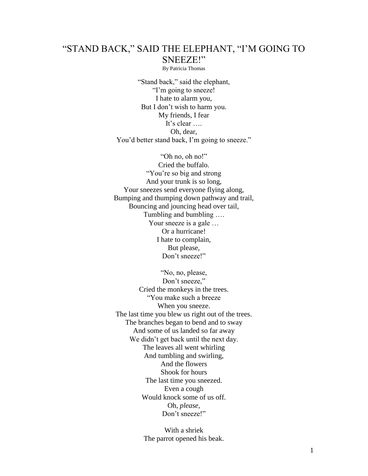## "STAND BACK," SAID THE ELEPHANT, "I'M GOING TO SNEEZE!"

By Patricia Thomas

"Stand back," said the elephant, "I'm going to sneeze! I hate to alarm you, But I don't wish to harm you. My friends, I fear It's clear …. Oh, dear, You'd better stand back, I'm going to sneeze."

"Oh no, oh no!" Cried the buffalo. "You're so big and strong" And your trunk is so long, Your sneezes send everyone flying along, Bumping and thumping down pathway and trail, Bouncing and jouncing head over tail, Tumbling and bumbling …. Your sneeze is a gale … Or a hurricane! I hate to complain, But please, Don't sneeze!"

"No, no, please, Don't sneeze," Cried the monkeys in the trees. "You make such a breeze When you sneeze. The last time you blew us right out of the trees. The branches began to bend and to sway And some of us landed so far away We didn't get back until the next day. The leaves all went whirling And tumbling and swirling, And the flowers Shook for hours The last time you sneezed. Even a cough Would knock some of us off. Oh, *please,* Don't sneeze!"

> With a shriek The parrot opened his beak.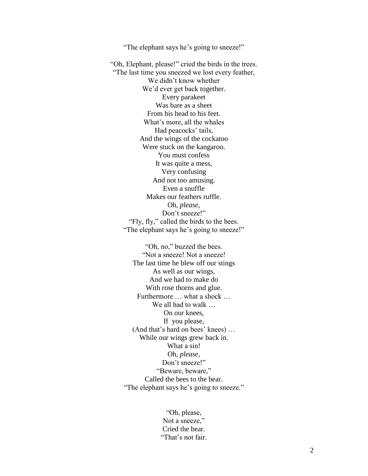"The elephant says he's going to sneeze!"

"Oh, Elephant, please!" cried the birds in the trees. "The last time you sneezed we lost every feather, We didn't know whether We'd ever get back together. Every parakeet Was bare as a sheet From his head to his feet. What's more, all the whales Had peacocks' tails, And the wings of the cockatoo Were stuck on the kangaroo. You must confess It was quite a mess, Very confusing And not too amusing. Even a snuffle Makes our feathers ruffle. Oh, *please,* Don't sneeze!" "Fly, fly," called the birds to the bees. "The elephant says he's going to sneeze!"

"Oh, no," buzzed the bees. "Not a sneeze! Not a sneeze! The last time he blew off our stings As well as our wings, And we had to make do With rose thorns and glue. Furthermore … what a shock … We all had to walk … On our knees, If you please, (And that's hard on bees' knees) … While our wings grew back in. What a sin! Oh, *please,* Don't sneeze!" "Beware, beware," Called the bees to the bear. "The elephant says he's going to sneeze."

> "Oh, please, Not a sneeze," Cried the bear. "That's not fair.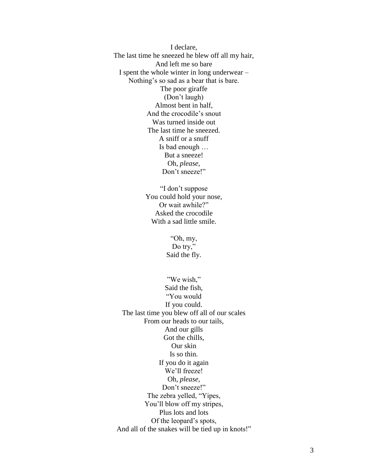I declare, The last time he sneezed he blew off all my hair, And left me so bare I spent the whole winter in long underwear – Nothing's so sad as a bear that is bare. The poor giraffe (Don't laugh) Almost bent in half, And the crocodile's snout Was turned inside out The last time he sneezed. A sniff or a snuff Is bad enough … But a sneeze! Oh, *please,* Don't sneeze!"

> "I don't suppose You could hold your nose, Or wait awhile?" Asked the crocodile With a sad little smile.

> > "Oh, my, Do try," Said the fly.

"We wish," Said the fish, "You would If you could. The last time you blew off all of our scales From our heads to our tails, And our gills Got the chills, Our skin Is so thin. If you do it again We'll freeze! Oh, *please,* Don't sneeze!" The zebra yelled, "Yipes, You'll blow off my stripes, Plus lots and lots Of the leopard's spots, And all of the snakes will be tied up in knots!"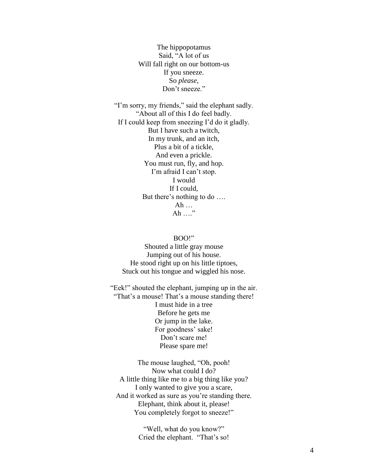The hippopotamus Said, "A lot of us Will fall right on our bottom-us If you sneeze. So *please,* Don't sneeze."

"I'm sorry, my friends," said the elephant sadly. "About all of this I do feel badly. If I could keep from sneezing I'd do it gladly. But I have such a twitch, In my trunk, and an itch, Plus a bit of a tickle, And even a prickle. You must run, fly, and hop. I'm afraid I can't stop. I would If I could, But there's nothing to do …. Ah … Ah …."

## BOO!"

Shouted a little gray mouse Jumping out of his house. He stood right up on his little tiptoes, Stuck out his tongue and wiggled his nose.

"Eek!" shouted the elephant, jumping up in the air. "That's a mouse! That's a mouse standing there! I must hide in a tree Before he gets me Or jump in the lake. For goodness' sake! Don't scare me! Please spare me!

The mouse laughed, "Oh, pooh! Now what could I do? A little thing like me to a big thing like you? I only wanted to give you a scare, And it worked as sure as you're standing there. Elephant, think about it, please! You completely forgot to sneeze!"

> "Well, what do you know?" Cried the elephant. "That's so!